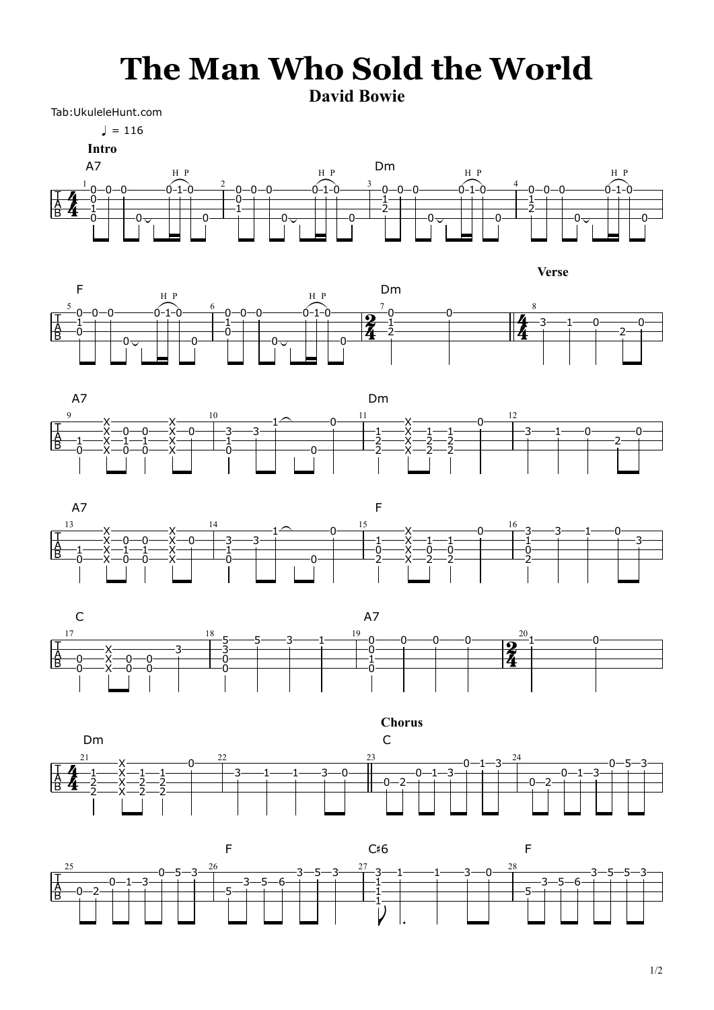## **The Man Who Sold the World**

**David Bowie**

Tab:UkuleleHunt.com





**Intro**